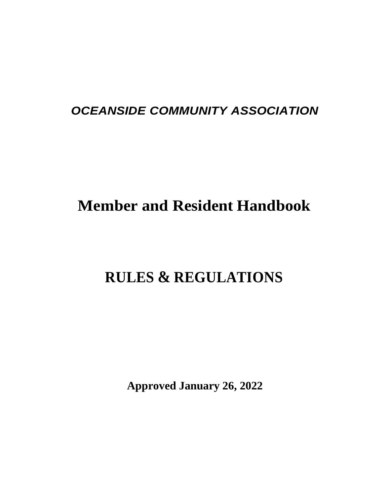# *OCEANSIDE COMMUNITY ASSOCIATION*

# **Member and Resident Handbook**

# **RULES & REGULATIONS**

**Approved January 26, 2022**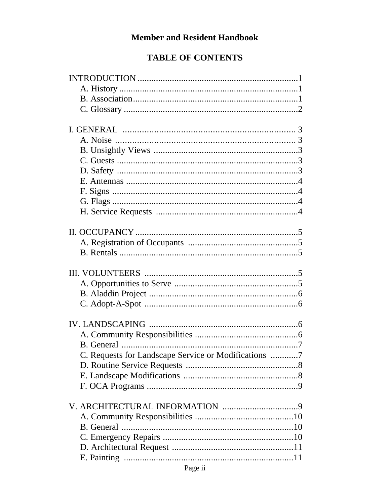# **Member and Resident Handbook**

#### **TABLE OF CONTENTS**

| C. Requests for Landscape Service or Modifications 7 |
|------------------------------------------------------|
|                                                      |
|                                                      |
|                                                      |
|                                                      |
|                                                      |
|                                                      |
|                                                      |
|                                                      |
|                                                      |
|                                                      |
|                                                      |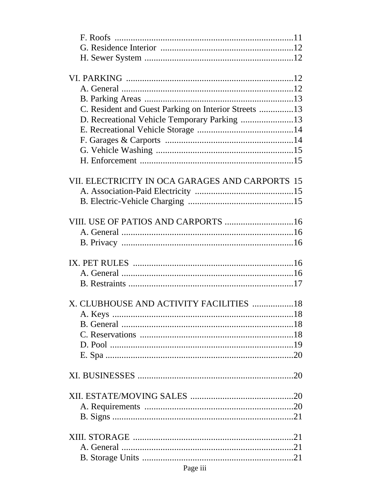| C. Resident and Guest Parking on Interior Streets 13 |  |
|------------------------------------------------------|--|
| D. Recreational Vehicle Temporary Parking 13         |  |
|                                                      |  |
|                                                      |  |
|                                                      |  |
|                                                      |  |
|                                                      |  |
| VII. ELECTRICITY IN OCA GARAGES AND CARPORTS 15      |  |
|                                                      |  |
|                                                      |  |
|                                                      |  |
| VIII. USE OF PATIOS AND CARPORTS 16                  |  |
|                                                      |  |
|                                                      |  |
|                                                      |  |
|                                                      |  |
|                                                      |  |
|                                                      |  |
|                                                      |  |
| X. CLUBHOUSE AND ACTIVITY FACILITIES 18              |  |
|                                                      |  |
|                                                      |  |
|                                                      |  |
|                                                      |  |
|                                                      |  |
|                                                      |  |
|                                                      |  |
|                                                      |  |
|                                                      |  |
|                                                      |  |
|                                                      |  |
|                                                      |  |
|                                                      |  |
|                                                      |  |
|                                                      |  |
|                                                      |  |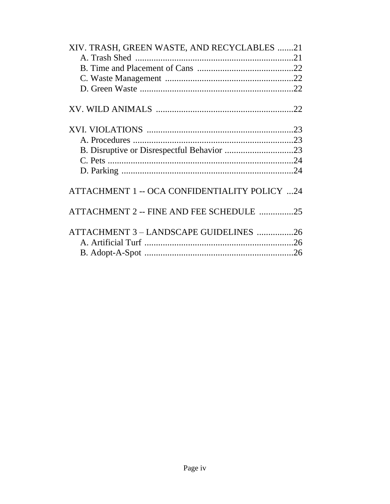| XIV. TRASH, GREEN WASTE, AND RECYCLABLES 21   |  |
|-----------------------------------------------|--|
|                                               |  |
|                                               |  |
|                                               |  |
|                                               |  |
|                                               |  |
|                                               |  |
|                                               |  |
|                                               |  |
|                                               |  |
|                                               |  |
|                                               |  |
|                                               |  |
|                                               |  |
| ATTACHMENT 1 -- OCA CONFIDENTIALITY POLICY 24 |  |
|                                               |  |
| ATTACHMENT 2 -- FINE AND FEE SCHEDULE 25      |  |
|                                               |  |
| ATTACHMENT 3 - LANDSCAPE GUIDELINES 26        |  |
|                                               |  |
|                                               |  |
|                                               |  |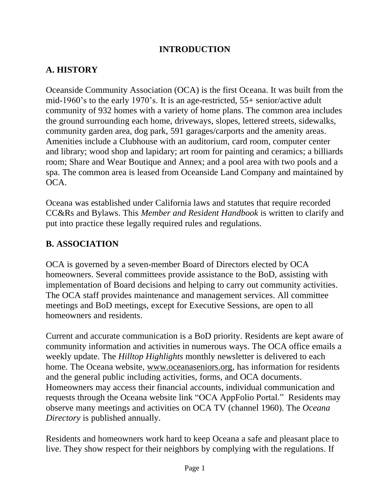#### **INTRODUCTION**

# **A. HISTORY**

Oceanside Community Association (OCA) is the first Oceana. It was built from the mid-1960's to the early 1970's. It is an age-restricted, 55+ senior/active adult community of 932 homes with a variety of home plans. The common area includes the ground surrounding each home, driveways, slopes, lettered streets, sidewalks, community garden area, dog park, 591 garages/carports and the amenity areas. Amenities include a Clubhouse with an auditorium, card room, computer center and library; wood shop and lapidary; art room for painting and ceramics; a billiards room; Share and Wear Boutique and Annex; and a pool area with two pools and a spa. The common area is leased from Oceanside Land Company and maintained by OCA.

Oceana was established under California laws and statutes that require recorded CC&Rs and Bylaws. This *Member and Resident Handbook* is written to clarify and put into practice these legally required rules and regulations.

#### **B. ASSOCIATION**

OCA is governed by a seven-member Board of Directors elected by OCA homeowners. Several committees provide assistance to the BoD, assisting with implementation of Board decisions and helping to carry out community activities. The OCA staff provides maintenance and management services. All committee meetings and BoD meetings, except for Executive Sessions, are open to all homeowners and residents.

Current and accurate communication is a BoD priority. Residents are kept aware of community information and activities in numerous ways. The OCA office emails a weekly update. The *Hilltop Highlights* monthly newsletter is delivered to each home. The Oceana website, [www.oceanaseniors.org,](http://www.oceanaseniors.org/) has information for residents and the general public including activities, forms, and OCA documents. Homeowners may access their financial accounts, individual communication and requests through the Oceana website link "OCA AppFolio Portal." Residents may observe many meetings and activities on OCA TV (channel 1960). The *Oceana Directory* is published annually.

Residents and homeowners work hard to keep Oceana a safe and pleasant place to live. They show respect for their neighbors by complying with the regulations. If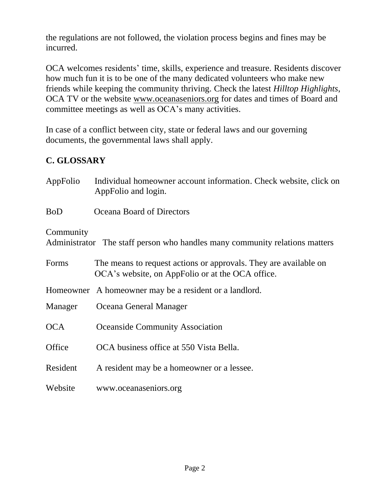the regulations are not followed, the violation process begins and fines may be incurred.

OCA welcomes residents' time, skills, experience and treasure. Residents discover how much fun it is to be one of the many dedicated volunteers who make new friends while keeping the community thriving. Check the latest *Hilltop Highlights*, OCA TV or the website [www.oceanaseniors.org](http://www.oceanaseniors.org/) for dates and times of Board and committee meetings as well as OCA's many activities.

In case of a conflict between city, state or federal laws and our governing documents, the governmental laws shall apply.

# **C. GLOSSARY**

| AppFolio   | Individual homeowner account information. Check website, click on<br>AppFolio and login.                             |
|------------|----------------------------------------------------------------------------------------------------------------------|
| <b>BoD</b> | Oceana Board of Directors                                                                                            |
| Community  | Administrator The staff person who handles many community relations matters                                          |
| Forms      | The means to request actions or approvals. They are available on<br>OCA's website, on AppFolio or at the OCA office. |
| Homeowner  | A homeowner may be a resident or a landlord.                                                                         |
| Manager    | Oceana General Manager                                                                                               |
| <b>OCA</b> | <b>Oceanside Community Association</b>                                                                               |
| Office     | OCA business office at 550 Vista Bella.                                                                              |
| Resident   | A resident may be a homeowner or a lessee.                                                                           |
| Website    | www.oceanaseniors.org                                                                                                |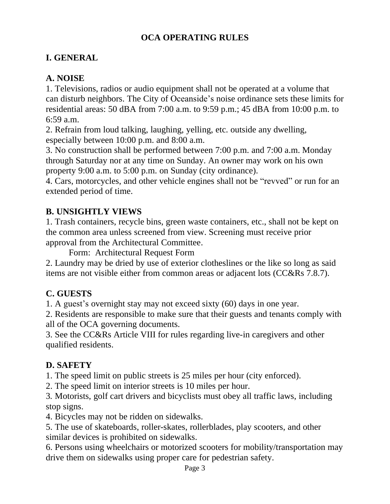# **OCA OPERATING RULES**

# **I. GENERAL**

# **A. NOISE**

1. Televisions, radios or audio equipment shall not be operated at a volume that can disturb neighbors. The City of Oceanside's noise ordinance sets these limits for residential areas: 50 dBA from 7:00 a.m. to 9:59 p.m.; 45 dBA from 10:00 p.m. to 6:59 a.m.

2. Refrain from loud talking, laughing, yelling, etc. outside any dwelling, especially between 10:00 p.m. and 8:00 a.m.

3. No construction shall be performed between 7:00 p.m. and 7:00 a.m. Monday through Saturday nor at any time on Sunday. An owner may work on his own property 9:00 a.m. to 5:00 p.m. on Sunday (city ordinance).

4. Cars, motorcycles, and other vehicle engines shall not be "revved" or run for an extended period of time.

# **B. UNSIGHTLY VIEWS**

1. Trash containers, recycle bins, green waste containers, etc., shall not be kept on the common area unless screened from view. Screening must receive prior approval from the Architectural Committee.

Form: Architectural Request Form

2. Laundry may be dried by use of exterior clotheslines or the like so long as said items are not visible either from common areas or adjacent lots (CC&Rs 7.8.7).

# **C. GUESTS**

1. A guest's overnight stay may not exceed sixty (60) days in one year.

2. Residents are responsible to make sure that their guests and tenants comply with all of the OCA governing documents.

3. See the CC&Rs Article VIII for rules regarding live-in caregivers and other qualified residents.

# **D. SAFETY**

1. The speed limit on public streets is 25 miles per hour (city enforced).

2. The speed limit on interior streets is 10 miles per hour.

3*.* Motorists, golf cart drivers and bicyclists must obey all traffic laws, including stop signs.

4. Bicycles may not be ridden on sidewalks.

5. The use of skateboards, roller-skates, rollerblades, play scooters, and other similar devices is prohibited on sidewalks.

6. Persons using wheelchairs or motorized scooters for mobility/transportation may drive them on sidewalks using proper care for pedestrian safety.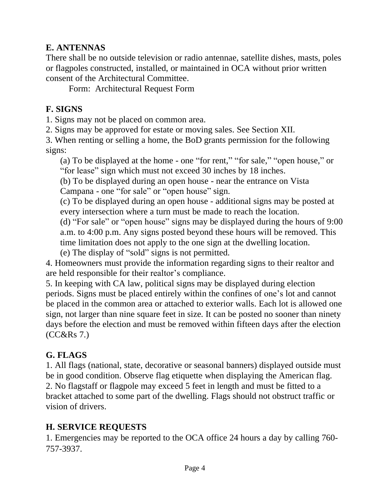#### **E. ANTENNAS**

There shall be no outside television or radio antennae, satellite dishes, masts, poles or flagpoles constructed, installed, or maintained in OCA without prior written consent of the Architectural Committee.

Form: Architectural Request Form

#### **F. SIGNS**

1. Signs may not be placed on common area.

2. Signs may be approved for estate or moving sales. See Section XII.

3. When renting or selling a home, the BoD grants permission for the following signs:

(a) To be displayed at the home - one "for rent," "for sale," "open house," or "for lease" sign which must not exceed 30 inches by 18 inches.

(b) To be displayed during an open house - near the entrance on Vista Campana - one "for sale" or "open house" sign.

(c) To be displayed during an open house - additional signs may be posted at every intersection where a turn must be made to reach the location.

(d) "For sale" or "open house" signs may be displayed during the hours of 9:00 a.m. to 4:00 p.m. Any signs posted beyond these hours will be removed. This time limitation does not apply to the one sign at the dwelling location.

(e) The display of "sold" signs is not permitted.

4. Homeowners must provide the information regarding signs to their realtor and are held responsible for their realtor's compliance.

5. In keeping with CA law, political signs may be displayed during election periods. Signs must be placed entirely within the confines of one's lot and cannot be placed in the common area or attached to exterior walls. Each lot is allowed one sign, not larger than nine square feet in size. It can be posted no sooner than ninety days before the election and must be removed within fifteen days after the election (CC&Rs 7.)

#### **G. FLAGS**

1. All flags (national, state, decorative or seasonal banners) displayed outside must be in good condition. Observe flag etiquette when displaying the American flag. 2. No flagstaff or flagpole may exceed 5 feet in length and must be fitted to a bracket attached to some part of the dwelling. Flags should not obstruct traffic or vision of drivers.

#### **H. SERVICE REQUESTS**

1. Emergencies may be reported to the OCA office 24 hours a day by calling 760- 757-3937.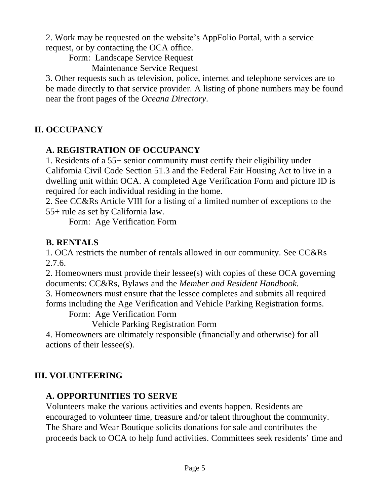2. Work may be requested on the website's AppFolio Portal, with a service request, or by contacting the OCA office.

Form: Landscape Service Request

Maintenance Service Request

3. Other requests such as television, police, internet and telephone services are to be made directly to that service provider. A listing of phone numbers may be found near the front pages of the *Oceana Directory*.

# **II. OCCUPANCY**

# **A. REGISTRATION OF OCCUPANCY**

1. Residents of a 55+ senior community must certify their eligibility under California Civil Code Section 51.3 and the Federal Fair Housing Act to live in a dwelling unit within OCA. A completed Age Verification Form and picture ID is required for each individual residing in the home.

2. See CC&Rs Article VIII for a listing of a limited number of exceptions to the 55+ rule as set by California law.

Form: Age Verification Form

# **B. RENTALS**

1. OCA restricts the number of rentals allowed in our community. See CC&Rs 2.7.6.

2. Homeowners must provide their lessee(s) with copies of these OCA governing documents: CC&Rs, Bylaws and the *Member and Resident Handbook.*

3. Homeowners must ensure that the lessee completes and submits all required forms including the Age Verification and Vehicle Parking Registration forms.

Form: Age Verification Form

Vehicle Parking Registration Form

4. Homeowners are ultimately responsible (financially and otherwise) for all actions of their lessee(s).

# **III. VOLUNTEERING**

# **A. OPPORTUNITIES TO SERVE**

Volunteers make the various activities and events happen. Residents are encouraged to volunteer time, treasure and/or talent throughout the community. The Share and Wear Boutique solicits donations for sale and contributes the proceeds back to OCA to help fund activities. Committees seek residents' time and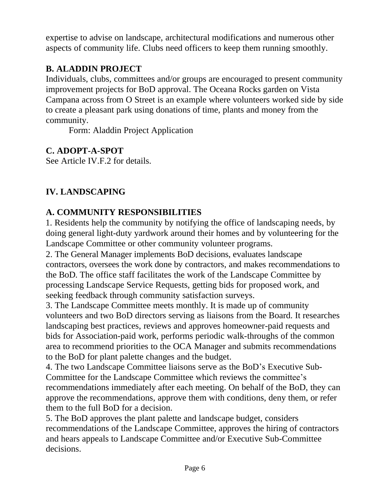expertise to advise on landscape, architectural modifications and numerous other aspects of community life. Clubs need officers to keep them running smoothly.

# **B. ALADDIN PROJECT**

Individuals, clubs, committees and/or groups are encouraged to present community improvement projects for BoD approval. The Oceana Rocks garden on Vista Campana across from O Street is an example where volunteers worked side by side to create a pleasant park using donations of time, plants and money from the community.

Form: Aladdin Project Application

# **C. ADOPT-A-SPOT**

See Article IV.F.2 for details.

# **IV. LANDSCAPING**

# **A. COMMUNITY RESPONSIBILITIES**

1. Residents help the community by notifying the office of landscaping needs, by doing general light-duty yardwork around their homes and by volunteering for the Landscape Committee or other community volunteer programs.

2. The General Manager implements BoD decisions, evaluates landscape contractors, oversees the work done by contractors, and makes recommendations to the BoD. The office staff facilitates the work of the Landscape Committee by processing Landscape Service Requests, getting bids for proposed work, and seeking feedback through community satisfaction surveys.

3. The Landscape Committee meets monthly. It is made up of community volunteers and two BoD directors serving as liaisons from the Board. It researches landscaping best practices, reviews and approves homeowner-paid requests and bids for Association-paid work, performs periodic walk-throughs of the common area to recommend priorities to the OCA Manager and submits recommendations to the BoD for plant palette changes and the budget.

4. The two Landscape Committee liaisons serve as the BoD's Executive Sub-Committee for the Landscape Committee which reviews the committee's recommendations immediately after each meeting. On behalf of the BoD, they can approve the recommendations, approve them with conditions, deny them, or refer them to the full BoD for a decision.

5. The BoD approves the plant palette and landscape budget, considers recommendations of the Landscape Committee, approves the hiring of contractors and hears appeals to Landscape Committee and/or Executive Sub-Committee decisions.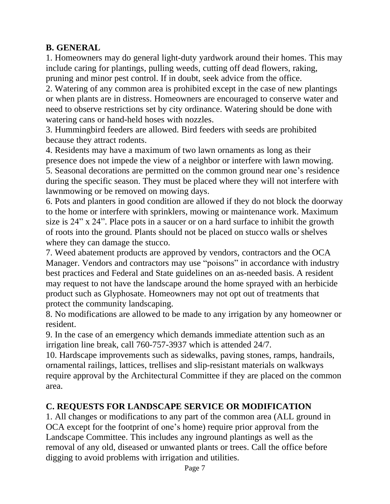#### **B. GENERAL**

1. Homeowners may do general light-duty yardwork around their homes. This may include caring for plantings, pulling weeds, cutting off dead flowers, raking, pruning and minor pest control. If in doubt, seek advice from the office.

2. Watering of any common area is prohibited except in the case of new plantings or when plants are in distress. Homeowners are encouraged to conserve water and need to observe restrictions set by city ordinance. Watering should be done with watering cans or hand-held hoses with nozzles.

3. Hummingbird feeders are allowed. Bird feeders with seeds are prohibited because they attract rodents.

4. Residents may have a maximum of two lawn ornaments as long as their presence does not impede the view of a neighbor or interfere with lawn mowing. 5. Seasonal decorations are permitted on the common ground near one's residence during the specific season. They must be placed where they will not interfere with lawnmowing or be removed on mowing days.

6. Pots and planters in good condition are allowed if they do not block the doorway to the home or interfere with sprinklers, mowing or maintenance work. Maximum size is 24" x 24". Place pots in a saucer or on a hard surface to inhibit the growth of roots into the ground. Plants should not be placed on stucco walls or shelves where they can damage the stucco.

7. Weed abatement products are approved by vendors, contractors and the OCA Manager. Vendors and contractors may use "poisons" in accordance with industry best practices and Federal and State guidelines on an as-needed basis. A resident may request to not have the landscape around the home sprayed with an herbicide product such as Glyphosate. Homeowners may not opt out of treatments that protect the community landscaping.

8. No modifications are allowed to be made to any irrigation by any homeowner or resident.

9. In the case of an emergency which demands immediate attention such as an irrigation line break, call 760-757-3937 which is attended 24/7.

10. Hardscape improvements such as sidewalks, paving stones, ramps, handrails, ornamental railings, lattices, trellises and slip-resistant materials on walkways require approval by the Architectural Committee if they are placed on the common area.

#### **C. REQUESTS FOR LANDSCAPE SERVICE OR MODIFICATION**

1. All changes or modifications to any part of the common area (ALL ground in OCA except for the footprint of one's home) require prior approval from the Landscape Committee. This includes any inground plantings as well as the removal of any old, diseased or unwanted plants or trees. Call the office before digging to avoid problems with irrigation and utilities.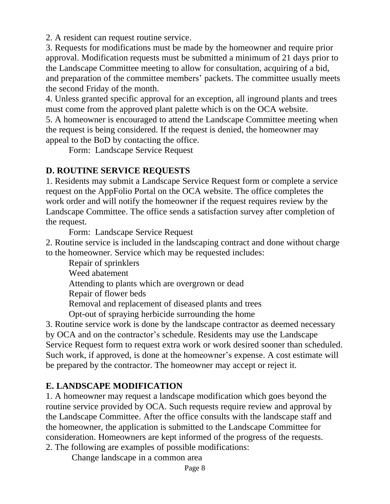2. A resident can request routine service.

3. Requests for modifications must be made by the homeowner and require prior approval. Modification requests must be submitted a minimum of 21 days prior to the Landscape Committee meeting to allow for consultation, acquiring of a bid, and preparation of the committee members' packets. The committee usually meets the second Friday of the month.

4. Unless granted specific approval for an exception, all inground plants and trees must come from the approved plant palette which is on the OCA website.

5. A homeowner is encouraged to attend the Landscape Committee meeting when the request is being considered. If the request is denied, the homeowner may appeal to the BoD by contacting the office.

Form: Landscape Service Request

# **D. ROUTINE SERVICE REQUESTS**

1. Residents may submit a Landscape Service Request form or complete a service request on the AppFolio Portal on the OCA website. The office completes the work order and will notify the homeowner if the request requires review by the Landscape Committee. The office sends a satisfaction survey after completion of the request.

Form: Landscape Service Request

2. Routine service is included in the landscaping contract and done without charge to the homeowner. Service which may be requested includes:

Repair of sprinklers Weed abatement Attending to plants which are overgrown or dead Repair of flower beds Removal and replacement of diseased plants and trees

Opt-out of spraying herbicide surrounding the home

3. Routine service work is done by the landscape contractor as deemed necessary by OCA and on the contractor's schedule. Residents may use the Landscape Service Request form to request extra work or work desired sooner than scheduled. Such work, if approved, is done at the homeowner's expense. A cost estimate will be prepared by the contractor. The homeowner may accept or reject it.

# **E. LANDSCAPE MODIFICATION**

1. A homeowner may request a landscape modification which goes beyond the routine service provided by OCA. Such requests require review and approval by the Landscape Committee. After the office consults with the landscape staff and the homeowner, the application is submitted to the Landscape Committee for consideration. Homeowners are kept informed of the progress of the requests. 2. The following are examples of possible modifications:

Change landscape in a common area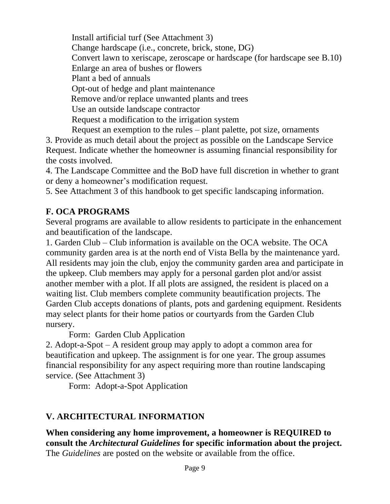Install artificial turf (See Attachment 3) Change hardscape (i.e., concrete, brick, stone, DG) Convert lawn to xeriscape, zeroscape or hardscape (for hardscape see B.10) Enlarge an area of bushes or flowers Plant a bed of annuals Opt-out of hedge and plant maintenance Remove and/or replace unwanted plants and trees Use an outside landscape contractor Request a modification to the irrigation system Request an exemption to the rules – plant palette, pot size, ornaments

3. Provide as much detail about the project as possible on the Landscape Service Request. Indicate whether the homeowner is assuming financial responsibility for the costs involved.

4. The Landscape Committee and the BoD have full discretion in whether to grant or deny a homeowner's modification request.

5. See Attachment 3 of this handbook to get specific landscaping information.

#### **F. OCA PROGRAMS**

Several programs are available to allow residents to participate in the enhancement and beautification of the landscape.

1. Garden Club – Club information is available on the OCA website. The OCA community garden area is at the north end of Vista Bella by the maintenance yard. All residents may join the club, enjoy the community garden area and participate in the upkeep. Club members may apply for a personal garden plot and/or assist another member with a plot. If all plots are assigned, the resident is placed on a waiting list. Club members complete community beautification projects. The Garden Club accepts donations of plants, pots and gardening equipment. Residents may select plants for their home patios or courtyards from the Garden Club nursery.

Form: Garden Club Application

2. Adopt-a-Spot – A resident group may apply to adopt a common area for beautification and upkeep. The assignment is for one year. The group assumes financial responsibility for any aspect requiring more than routine landscaping service. (See Attachment 3)

Form: Adopt-a-Spot Application

# **V. ARCHITECTURAL INFORMATION**

**When considering any home improvement, a homeowner is REQUIRED to consult the** *Architectural Guidelines* **for specific information about the project.** The *Guidelines* are posted on the website or available from the office.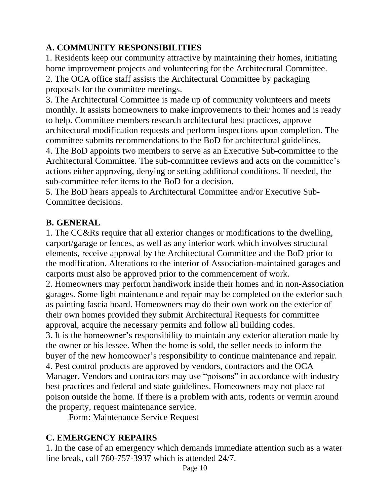#### **A. COMMUNITY RESPONSIBILITIES**

1. Residents keep our community attractive by maintaining their homes, initiating home improvement projects and volunteering for the Architectural Committee. 2. The OCA office staff assists the Architectural Committee by packaging proposals for the committee meetings.

3. The Architectural Committee is made up of community volunteers and meets monthly. It assists homeowners to make improvements to their homes and is ready to help. Committee members research architectural best practices, approve architectural modification requests and perform inspections upon completion. The committee submits recommendations to the BoD for architectural guidelines.

4. The BoD appoints two members to serve as an Executive Sub-committee to the Architectural Committee. The sub-committee reviews and acts on the committee's actions either approving, denying or setting additional conditions. If needed, the sub-committee refer items to the BoD for a decision.

5. The BoD hears appeals to Architectural Committee and/or Executive Sub-Committee decisions.

#### **B. GENERAL**

1. The CC&Rs require that all exterior changes or modifications to the dwelling, carport/garage or fences, as well as any interior work which involves structural elements, receive approval by the Architectural Committee and the BoD prior to the modification. Alterations to the interior of Association-maintained garages and carports must also be approved prior to the commencement of work.

2. Homeowners may perform handiwork inside their homes and in non-Association garages. Some light maintenance and repair may be completed on the exterior such as painting fascia board. Homeowners may do their own work on the exterior of their own homes provided they submit Architectural Requests for committee approval, acquire the necessary permits and follow all building codes.

3. It is the homeowner's responsibility to maintain any exterior alteration made by the owner or his lessee. When the home is sold, the seller needs to inform the buyer of the new homeowner's responsibility to continue maintenance and repair. 4. Pest control products are approved by vendors, contractors and the OCA Manager. Vendors and contractors may use "poisons" in accordance with industry best practices and federal and state guidelines. Homeowners may not place rat poison outside the home. If there is a problem with ants, rodents or vermin around the property, request maintenance service.

Form: Maintenance Service Request

# **C. EMERGENCY REPAIRS**

1. In the case of an emergency which demands immediate attention such as a water line break, call 760-757-3937 which is attended 24/7.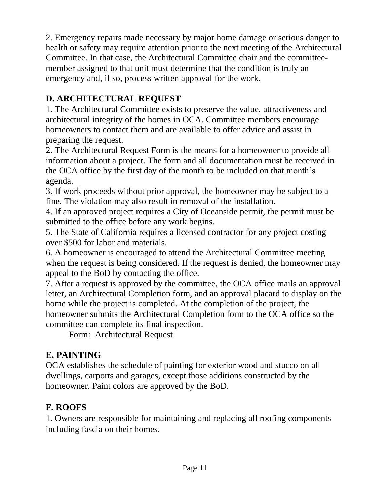2. Emergency repairs made necessary by major home damage or serious danger to health or safety may require attention prior to the next meeting of the Architectural Committee. In that case, the Architectural Committee chair and the committeemember assigned to that unit must determine that the condition is truly an emergency and, if so, process written approval for the work.

# **D. ARCHITECTURAL REQUEST**

1. The Architectural Committee exists to preserve the value, attractiveness and architectural integrity of the homes in OCA. Committee members encourage homeowners to contact them and are available to offer advice and assist in preparing the request.

2. The Architectural Request Form is the means for a homeowner to provide all information about a project. The form and all documentation must be received in the OCA office by the first day of the month to be included on that month's agenda.

3. If work proceeds without prior approval, the homeowner may be subject to a fine. The violation may also result in removal of the installation.

4. If an approved project requires a City of Oceanside permit, the permit must be submitted to the office before any work begins.

5. The State of California requires a licensed contractor for any project costing over \$500 for labor and materials.

6. A homeowner is encouraged to attend the Architectural Committee meeting when the request is being considered. If the request is denied, the homeowner may appeal to the BoD by contacting the office.

7. After a request is approved by the committee, the OCA office mails an approval letter, an Architectural Completion form, and an approval placard to display on the home while the project is completed. At the completion of the project, the homeowner submits the Architectural Completion form to the OCA office so the committee can complete its final inspection.

Form: Architectural Request

# **E. PAINTING**

OCA establishes the schedule of painting for exterior wood and stucco on all dwellings, carports and garages, except those additions constructed by the homeowner. Paint colors are approved by the BoD.

# **F. ROOFS**

1. Owners are responsible for maintaining and replacing all roofing components including fascia on their homes.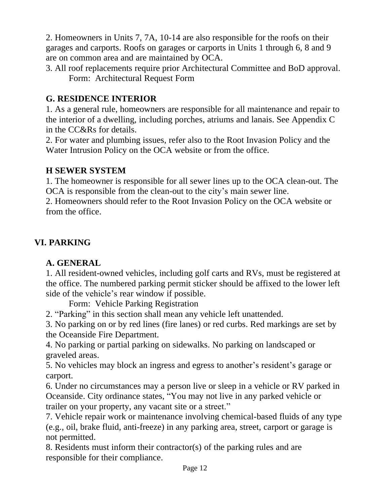2. Homeowners in Units 7, 7A, 10-14 are also responsible for the roofs on their garages and carports. Roofs on garages or carports in Units 1 through 6, 8 and 9 are on common area and are maintained by OCA.

3. All roof replacements require prior Architectural Committee and BoD approval. Form: Architectural Request Form

# **G. RESIDENCE INTERIOR**

1. As a general rule, homeowners are responsible for all maintenance and repair to the interior of a dwelling, including porches, atriums and lanais. See Appendix C in the CC&Rs for details.

2. For water and plumbing issues, refer also to the Root Invasion Policy and the Water Intrusion Policy on the OCA website or from the office.

#### **H SEWER SYSTEM**

1. The homeowner is responsible for all sewer lines up to the OCA clean-out. The OCA is responsible from the clean-out to the city's main sewer line.

2. Homeowners should refer to the Root Invasion Policy on the OCA website or from the office.

# **VI. PARKING**

#### **A. GENERAL**

1. All resident-owned vehicles, including golf carts and RVs, must be registered at the office. The numbered parking permit sticker should be affixed to the lower left side of the vehicle's rear window if possible.

Form: Vehicle Parking Registration

2. "Parking" in this section shall mean any vehicle left unattended.

3. No parking on or by red lines (fire lanes) or red curbs. Red markings are set by the Oceanside Fire Department.

4. No parking or partial parking on sidewalks. No parking on landscaped or graveled areas.

5. No vehicles may block an ingress and egress to another's resident's garage or carport.

6. Under no circumstances may a person live or sleep in a vehicle or RV parked in Oceanside. City ordinance states, "You may not live in any parked vehicle or trailer on your property, any vacant site or a street."

7. Vehicle repair work or maintenance involving chemical-based fluids of any type (e.g., oil, brake fluid, anti-freeze) in any parking area, street, carport or garage is not permitted.

8. Residents must inform their contractor(s) of the parking rules and are responsible for their compliance.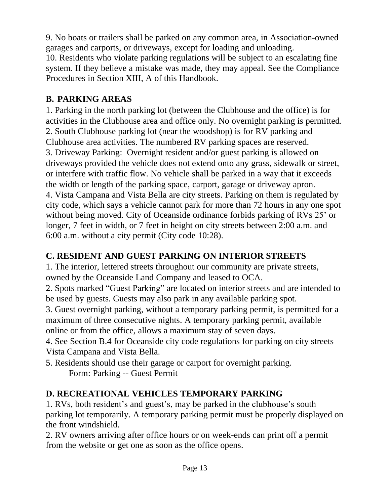9. No boats or trailers shall be parked on any common area, in Association-owned garages and carports, or driveways, except for loading and unloading.

10. Residents who violate parking regulations will be subject to an escalating fine system. If they believe a mistake was made, they may appeal. See the Compliance Procedures in Section XIII, A of this Handbook.

# **B. PARKING AREAS**

1. Parking in the north parking lot (between the Clubhouse and the office) is for activities in the Clubhouse area and office only. No overnight parking is permitted. 2. South Clubhouse parking lot (near the woodshop) is for RV parking and Clubhouse area activities. The numbered RV parking spaces are reserved. 3. Driveway Parking: Overnight resident and/or guest parking is allowed on driveways provided the vehicle does not extend onto any grass, sidewalk or street, or interfere with traffic flow. No vehicle shall be parked in a way that it exceeds the width or length of the parking space, carport, garage or driveway apron. 4. Vista Campana and Vista Bella are city streets. Parking on them is regulated by city code, which says a vehicle cannot park for more than 72 hours in any one spot without being moved. City of Oceanside ordinance forbids parking of RVs 25' or longer, 7 feet in width, or 7 feet in height on city streets between 2:00 a.m. and 6:00 a.m. without a city permit (City code 10:28).

# **C. RESIDENT AND GUEST PARKING ON INTERIOR STREETS**

1. The interior, lettered streets throughout our community are private streets, owned by the Oceanside Land Company and leased to OCA.

2. Spots marked "Guest Parking" are located on interior streets and are intended to be used by guests. Guests may also park in any available parking spot.

3. Guest overnight parking, without a temporary parking permit, is permitted for a maximum of three consecutive nights. A temporary parking permit, available online or from the office, allows a maximum stay of seven days.

4. See Section B.4 for Oceanside city code regulations for parking on city streets Vista Campana and Vista Bella.

5. Residents should use their garage or carport for overnight parking. Form: Parking -- Guest Permit

# **D. RECREATIONAL VEHICLES TEMPORARY PARKING**

1. RVs, both resident's and guest's, may be parked in the clubhouse's south parking lot temporarily. A temporary parking permit must be properly displayed on the front windshield.

2. RV owners arriving after office hours or on week-ends can print off a permit from the website or get one as soon as the office opens.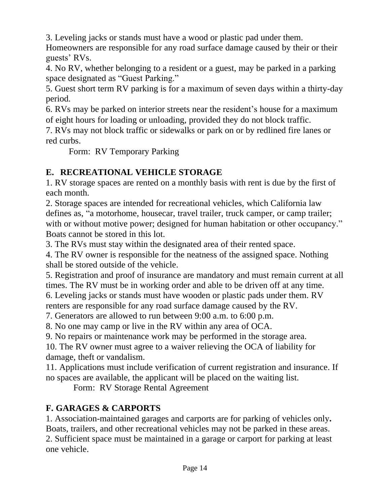3. Leveling jacks or stands must have a wood or plastic pad under them.

Homeowners are responsible for any road surface damage caused by their or their guests' RVs.

4. No RV, whether belonging to a resident or a guest, may be parked in a parking space designated as "Guest Parking."

5. Guest short term RV parking is for a maximum of seven days within a thirty-day period.

6. RVs may be parked on interior streets near the resident's house for a maximum of eight hours for loading or unloading, provided they do not block traffic.

7. RVs may not block traffic or sidewalks or park on or by redlined fire lanes or red curbs.

Form: RV Temporary Parking

# **E. RECREATIONAL VEHICLE STORAGE**

1. RV storage spaces are rented on a monthly basis with rent is due by the first of each month.

2. Storage spaces are intended for recreational vehicles, which California law defines as, "a motorhome, housecar, travel trailer, truck camper, or camp trailer; with or without motive power; designed for human habitation or other occupancy." Boats cannot be stored in this lot.

3. The RVs must stay within the designated area of their rented space.

4. The RV owner is responsible for the neatness of the assigned space. Nothing shall be stored outside of the vehicle.

5. Registration and proof of insurance are mandatory and must remain current at all times. The RV must be in working order and able to be driven off at any time.

6. Leveling jacks or stands must have wooden or plastic pads under them. RV renters are responsible for any road surface damage caused by the RV.

7. Generators are allowed to run between 9:00 a.m. to 6:00 p.m.

8. No one may camp or live in the RV within any area of OCA.

9. No repairs or maintenance work may be performed in the storage area.

10. The RV owner must agree to a waiver relieving the OCA of liability for damage, theft or vandalism.

11. Applications must include verification of current registration and insurance. If no spaces are available, the applicant will be placed on the waiting list.

Form: RV Storage Rental Agreement

# **F. GARAGES & CARPORTS**

1. Association-maintained garages and carports are for parking of vehicles only**.** Boats, trailers, and other recreational vehicles may not be parked in these areas. 2. Sufficient space must be maintained in a garage or carport for parking at least one vehicle.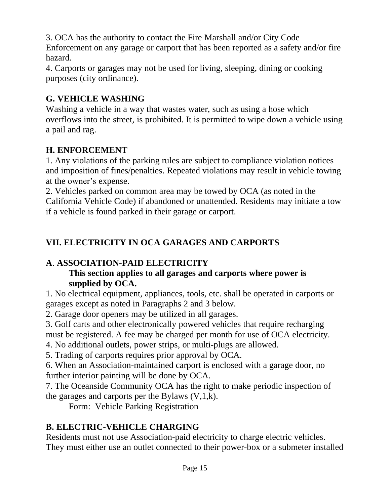3. OCA has the authority to contact the Fire Marshall and/or City Code Enforcement on any garage or carport that has been reported as a safety and/or fire hazard.

4. Carports or garages may not be used for living, sleeping, dining or cooking purposes (city ordinance).

#### **G. VEHICLE WASHING**

Washing a vehicle in a way that wastes water, such as using a hose which overflows into the street, is prohibited. It is permitted to wipe down a vehicle using a pail and rag.

#### **H. ENFORCEMENT**

1. Any violations of the parking rules are subject to compliance violation notices and imposition of fines/penalties. Repeated violations may result in vehicle towing at the owner's expense.

2. Vehicles parked on common area may be towed by OCA (as noted in the California Vehicle Code) if abandoned or unattended. Residents may initiate a tow if a vehicle is found parked in their garage or carport.

# **VII. ELECTRICITY IN OCA GARAGES AND CARPORTS**

#### **A**. **ASSOCIATION-PAID ELECTRICITY**

#### **This section applies to all garages and carports where power is supplied by OCA.**

1. No electrical equipment, appliances, tools, etc. shall be operated in carports or garages except as noted in Paragraphs 2 and 3 below.

2. Garage door openers may be utilized in all garages.

3. Golf carts and other electronically powered vehicles that require recharging

must be registered. A fee may be charged per month for use of OCA electricity.

4. No additional outlets, power strips, or multi-plugs are allowed.

5. Trading of carports requires prior approval by OCA.

6. When an Association-maintained carport is enclosed with a garage door, no further interior painting will be done by OCA.

7. The Oceanside Community OCA has the right to make periodic inspection of the garages and carports per the Bylaws  $(V,1,k)$ .

Form: Vehicle Parking Registration

# **B. ELECTRIC-VEHICLE CHARGING**

Residents must not use Association-paid electricity to charge electric vehicles. They must either use an outlet connected to their power-box or a submeter installed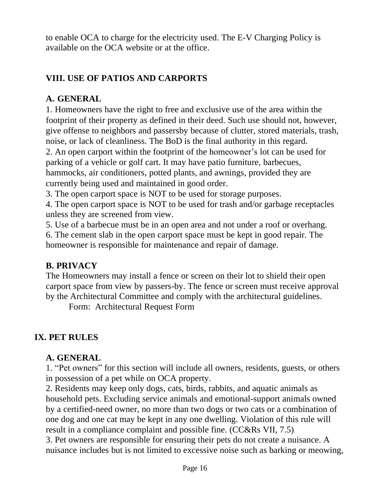to enable OCA to charge for the electricity used. The E-V Charging Policy is available on the OCA website or at the office.

# **VIII. USE OF PATIOS AND CARPORTS**

#### **A. GENERAL**

1. Homeowners have the right to free and exclusive use of the area within the footprint of their property as defined in their deed. Such use should not, however, give offense to neighbors and passersby because of clutter, stored materials, trash, noise, or lack of cleanliness. The BoD is the final authority in this regard.

2. An open carport within the footprint of the homeowner's lot can be used for parking of a vehicle or golf cart. It may have patio furniture, barbecues, hammocks, air conditioners, potted plants, and awnings, provided they are currently being used and maintained in good order.

3. The open carport space is NOT to be used for storage purposes.

4. The open carport space is NOT to be used for trash and/or garbage receptacles unless they are screened from view.

5. Use of a barbecue must be in an open area and not under a roof or overhang.

6. The cement slab in the open carport space must be kept in good repair. The homeowner is responsible for maintenance and repair of damage.

#### **B. PRIVACY**

The Homeowners may install a fence or screen on their lot to shield their open carport space from view by passers-by. The fence or screen must receive approval by the Architectural Committee and comply with the architectural guidelines.

Form: Architectural Request Form

#### **IX. PET RULES**

#### **A. GENERAL**

1. "Pet owners" for this section will include all owners, residents, guests, or others in possession of a pet while on OCA property.

2. Residents may keep only dogs, cats, birds, rabbits, and aquatic animals as household pets. Excluding service animals and emotional-support animals owned by a certified-need owner, no more than two dogs or two cats or a combination of one dog and one cat may be kept in any one dwelling. Violation of this rule will result in a compliance complaint and possible fine. (CC&Rs VII, 7.5)

3. Pet owners are responsible for ensuring their pets do not create a nuisance. A nuisance includes but is not limited to excessive noise such as barking or meowing,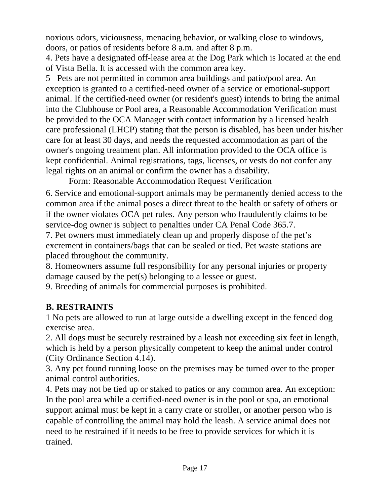noxious odors, viciousness, menacing behavior, or walking close to windows, doors, or patios of residents before 8 a.m. and after 8 p.m.

4. Pets have a designated off-lease area at the Dog Park which is located at the end of Vista Bella. It is accessed with the common area key.

5 Pets are not permitted in common area buildings and patio/pool area. An exception is granted to a certified-need owner of a service or emotional-support animal. If the certified-need owner (or resident's guest) intends to bring the animal into the Clubhouse or Pool area, a Reasonable Accommodation Verification must be provided to the OCA Manager with contact information by a licensed health care professional (LHCP) stating that the person is disabled, has been under his/her care for at least 30 days, and needs the requested accommodation as part of the owner's ongoing treatment plan. All information provided to the OCA office is kept confidential. Animal registrations, tags, licenses, or vests do not confer any legal rights on an animal or confirm the owner has a disability.

Form: Reasonable Accommodation Request Verification

6. Service and emotional-support animals may be permanently denied access to the common area if the animal poses a direct threat to the health or safety of others or if the owner violates OCA pet rules. Any person who fraudulently claims to be service-dog owner is subject to penalties under CA Penal Code 365.7.

7. Pet owners must immediately clean up and properly dispose of the pet's excrement in containers/bags that can be sealed or tied. Pet waste stations are placed throughout the community.

8. Homeowners assume full responsibility for any personal injuries or property damage caused by the pet(s) belonging to a lessee or guest.

9. Breeding of animals for commercial purposes is prohibited.

# **B. RESTRAINTS**

1 No pets are allowed to run at large outside a dwelling except in the fenced dog exercise area.

2. All dogs must be securely restrained by a leash not exceeding six feet in length, which is held by a person physically competent to keep the animal under control (City Ordinance Section 4.14).

3. Any pet found running loose on the premises may be turned over to the proper animal control authorities.

4. Pets may not be tied up or staked to patios or any common area. An exception: In the pool area while a certified-need owner is in the pool or spa, an emotional support animal must be kept in a carry crate or stroller, or another person who is capable of controlling the animal may hold the leash. A service animal does not need to be restrained if it needs to be free to provide services for which it is trained.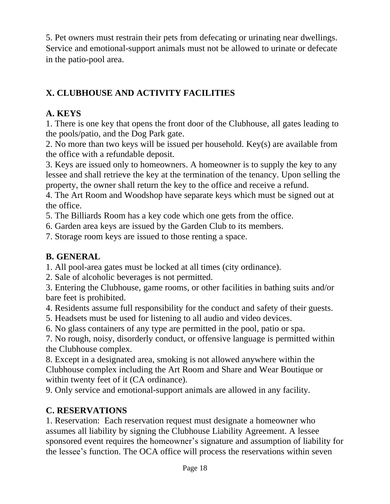5. Pet owners must restrain their pets from defecating or urinating near dwellings. Service and emotional-support animals must not be allowed to urinate or defecate in the patio-pool area.

# **X. CLUBHOUSE AND ACTIVITY FACILITIES**

# **A. KEYS**

1. There is one key that opens the front door of the Clubhouse, all gates leading to the pools/patio, and the Dog Park gate.

2. No more than two keys will be issued per household. Key(s) are available from the office with a refundable deposit.

3. Keys are issued only to homeowners. A homeowner is to supply the key to any lessee and shall retrieve the key at the termination of the tenancy. Upon selling the property, the owner shall return the key to the office and receive a refund.

4. The Art Room and Woodshop have separate keys which must be signed out at the office.

5. The Billiards Room has a key code which one gets from the office.

6. Garden area keys are issued by the Garden Club to its members.

7. Storage room keys are issued to those renting a space.

# **B. GENERAL**

1. All pool-area gates must be locked at all times (city ordinance).

2. Sale of alcoholic beverages is not permitted.

3. Entering the Clubhouse, game rooms, or other facilities in bathing suits and/or bare feet is prohibited.

4. Residents assume full responsibility for the conduct and safety of their guests.

5. Headsets must be used for listening to all audio and video devices.

6. No glass containers of any type are permitted in the pool, patio or spa.

7. No rough, noisy, disorderly conduct, or offensive language is permitted within the Clubhouse complex.

8. Except in a designated area, smoking is not allowed anywhere within the Clubhouse complex including the Art Room and Share and Wear Boutique or within twenty feet of it (CA ordinance).

9. Only service and emotional-support animals are allowed in any facility.

# **C. RESERVATIONS**

1. Reservation: Each reservation request must designate a homeowner who assumes all liability by signing the Clubhouse Liability Agreement. A lessee sponsored event requires the homeowner's signature and assumption of liability for the lessee's function. The OCA office will process the reservations within seven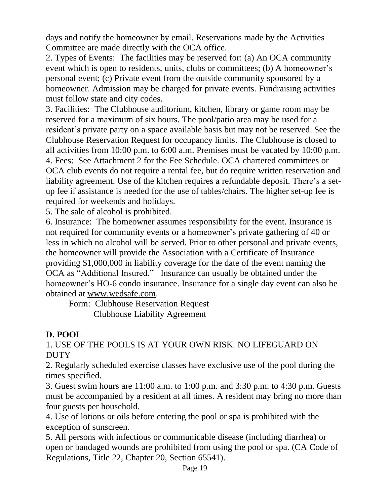days and notify the homeowner by email. Reservations made by the Activities Committee are made directly with the OCA office.

2. Types of Events: The facilities may be reserved for: (a) An OCA community event which is open to residents, units, clubs or committees; (b) A homeowner's personal event; (c) Private event from the outside community sponsored by a homeowner. Admission may be charged for private events. Fundraising activities must follow state and city codes.

3. Facilities: The Clubhouse auditorium, kitchen, library or game room may be reserved for a maximum of six hours. The pool/patio area may be used for a resident's private party on a space available basis but may not be reserved. See the Clubhouse Reservation Request for occupancy limits. The Clubhouse is closed to all activities from 10:00 p.m. to 6:00 a.m. Premises must be vacated by 10:00 p.m. 4. Fees: See Attachment 2 for the Fee Schedule. OCA chartered committees or OCA club events do not require a rental fee, but do require written reservation and liability agreement. Use of the kitchen requires a refundable deposit. There's a setup fee if assistance is needed for the use of tables/chairs. The higher set-up fee is required for weekends and holidays.

5. The sale of alcohol is prohibited.

6. Insurance: The homeowner assumes responsibility for the event. Insurance is not required for community events or a homeowner's private gathering of 40 or less in which no alcohol will be served. Prior to other personal and private events, the homeowner will provide the Association with a Certificate of Insurance providing \$1,000,000 in liability coverage for the date of the event naming the OCA as "Additional Insured." Insurance can usually be obtained under the homeowner's HO-6 condo insurance. Insurance for a single day event can also be obtained at [www.wedsafe.com.](http://www.wedsafe.com/)

Form: Clubhouse Reservation Request Clubhouse Liability Agreement

#### **D. POOL**

1. USE OF THE POOLS IS AT YOUR OWN RISK. NO LIFEGUARD ON **DUTY** 

2. Regularly scheduled exercise classes have exclusive use of the pool during the times specified.

3. Guest swim hours are 11:00 a.m. to 1:00 p.m. and 3:30 p.m. to 4:30 p.m. Guests must be accompanied by a resident at all times. A resident may bring no more than four guests per household.

4. Use of lotions or oils before entering the pool or spa is prohibited with the exception of sunscreen.

5. All persons with infectious or communicable disease (including diarrhea) or open or bandaged wounds are prohibited from using the pool or spa. (CA Code of Regulations, Title 22, Chapter 20, Section 65541).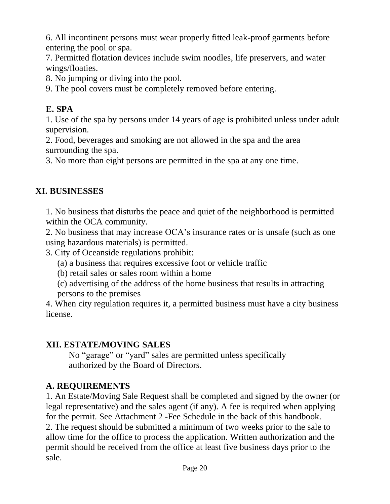6. All incontinent persons must wear properly fitted leak-proof garments before entering the pool or spa.

7. Permitted flotation devices include swim noodles, life preservers, and water wings/floaties.

8. No jumping or diving into the pool.

9. The pool covers must be completely removed before entering.

# **E. SPA**

1. Use of the spa by persons under 14 years of age is prohibited unless under adult supervision.

2. Food, beverages and smoking are not allowed in the spa and the area surrounding the spa.

3. No more than eight persons are permitted in the spa at any one time.

# **XI. BUSINESSES**

1. No business that disturbs the peace and quiet of the neighborhood is permitted within the OCA community.

2. No business that may increase OCA's insurance rates or is unsafe (such as one using hazardous materials) is permitted.

3. City of Oceanside regulations prohibit:

(a) a business that requires excessive foot or vehicle traffic

(b) retail sales or sales room within a home

(c) advertising of the address of the home business that results in attracting persons to the premises

4. When city regulation requires it, a permitted business must have a city business license.

#### **XII. ESTATE/MOVING SALES**

No "garage" or "yard" sales are permitted unless specifically authorized by the Board of Directors.

# **A. REQUIREMENTS**

1. An Estate/Moving Sale Request shall be completed and signed by the owner (or legal representative) and the sales agent (if any). A fee is required when applying for the permit. See Attachment 2 -Fee Schedule in the back of this handbook. 2. The request should be submitted a minimum of two weeks prior to the sale to allow time for the office to process the application. Written authorization and the permit should be received from the office at least five business days prior to the sale.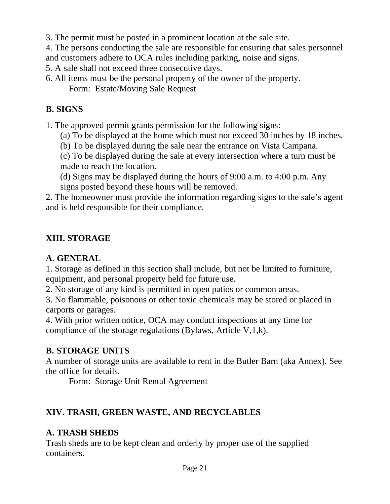3. The permit must be posted in a prominent location at the sale site.

4. The persons conducting the sale are responsible for ensuring that sales personnel and customers adhere to OCA rules including parking, noise and signs.

5. A sale shall not exceed three consecutive days.

6. All items must be the personal property of the owner of the property.

Form: Estate/Moving Sale Request

#### **B. SIGNS**

1. The approved permit grants permission for the following signs:

(a) To be displayed at the home which must not exceed 30 inches by 18 inches.

(b) To be displayed during the sale near the entrance on Vista Campana.

(c) To be displayed during the sale at every intersection where a turn must be made to reach the location.

(d) Signs may be displayed during the hours of 9:00 a.m. to 4:00 p.m. Any signs posted beyond these hours will be removed.

2. The homeowner must provide the information regarding signs to the sale's agent and is held responsible for their compliance.

#### **XIII. STORAGE**

#### **A. GENERAL**

1. Storage as defined in this section shall include, but not be limited to furniture, equipment, and personal property held for future use.

2. No storage of any kind is permitted in open patios or common areas.

3. No flammable, poisonous or other toxic chemicals may be stored or placed in carports or garages.

4. With prior written notice, OCA may conduct inspections at any time for compliance of the storage regulations (Bylaws, Article V,1,k).

#### **B. STORAGE UNITS**

A number of storage units are available to rent in the Butler Barn (aka Annex). See the office for details.

Form: Storage Unit Rental Agreement

# **XIV. TRASH, GREEN WASTE, AND RECYCLABLES**

#### **A. TRASH SHEDS**

Trash sheds are to be kept clean and orderly by proper use of the supplied containers.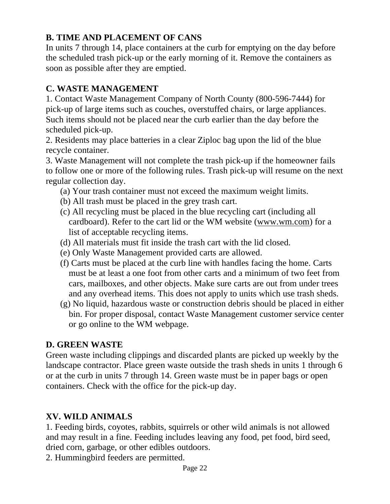# **B. TIME AND PLACEMENT OF CANS**

In units 7 through 14, place containers at the curb for emptying on the day before the scheduled trash pick-up or the early morning of it. Remove the containers as soon as possible after they are emptied.

#### **C. WASTE MANAGEMENT**

1. Contact Waste Management Company of North County (800-596-7444) for pick-up of large items such as couches, overstuffed chairs, or large appliances. Such items should not be placed near the curb earlier than the day before the scheduled pick-up.

2. Residents may place batteries in a clear Ziploc bag upon the lid of the blue recycle container.

3. Waste Management will not complete the trash pick-up if the homeowner fails to follow one or more of the following rules. Trash pick-up will resume on the next regular collection day.

- (a) Your trash container must not exceed the maximum weight limits.
- (b) All trash must be placed in the grey trash cart.
- (c) All recycling must be placed in the blue recycling cart (including all cardboard). Refer to the cart lid or the WM website [\(www.wm.com\)](http://www.wm.com/) for a list of acceptable recycling items.
- (d) All materials must fit inside the trash cart with the lid closed.
- (e) Only Waste Management provided carts are allowed.
- (f) Carts must be placed at the curb line with handles facing the home. Carts must be at least a one foot from other carts and a minimum of two feet from cars, mailboxes, and other objects. Make sure carts are out from under trees and any overhead items. This does not apply to units which use trash sheds.
- (g) No liquid, hazardous waste or construction debris should be placed in either bin. For proper disposal, contact Waste Management customer service center or go online to the WM webpage.

# **D. GREEN WASTE**

Green waste including clippings and discarded plants are picked up weekly by the landscape contractor. Place green waste outside the trash sheds in units 1 through 6 or at the curb in units 7 through 14. Green waste must be in paper bags or open containers. Check with the office for the pick-up day.

# **XV. WILD ANIMALS**

1. Feeding birds, coyotes, rabbits, squirrels or other wild animals is not allowed and may result in a fine. Feeding includes leaving any food, pet food, bird seed, dried corn, garbage, or other edibles outdoors.

2. Hummingbird feeders are permitted.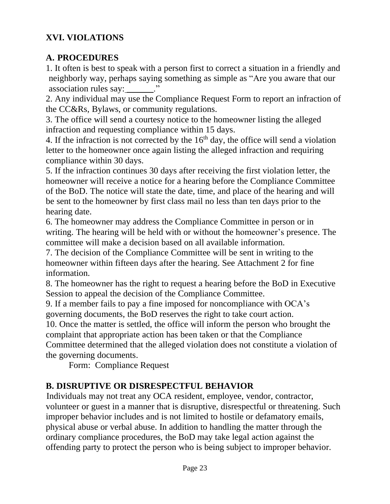#### **XVI. VIOLATIONS**

#### **A. PROCEDURES**

1. It often is best to speak with a person first to correct a situation in a friendly and neighborly way, perhaps saying something as simple as "Are you aware that our association rules say: \_\_\_\_\_\_\_."

2. Any individual may use the Compliance Request Form to report an infraction of the CC&Rs, Bylaws, or community regulations.

3. The office will send a courtesy notice to the homeowner listing the alleged infraction and requesting compliance within 15 days.

4. If the infraction is not corrected by the  $16<sup>th</sup>$  day, the office will send a violation letter to the homeowner once again listing the alleged infraction and requiring compliance within 30 days.

5. If the infraction continues 30 days after receiving the first violation letter, the homeowner will receive a notice for a hearing before the Compliance Committee of the BoD. The notice will state the date, time, and place of the hearing and will be sent to the homeowner by first class mail no less than ten days prior to the hearing date.

6. The homeowner may address the Compliance Committee in person or in writing. The hearing will be held with or without the homeowner's presence. The committee will make a decision based on all available information.

7. The decision of the Compliance Committee will be sent in writing to the homeowner within fifteen days after the hearing. See Attachment 2 for fine information.

8. The homeowner has the right to request a hearing before the BoD in Executive Session to appeal the decision of the Compliance Committee.

9. If a member fails to pay a fine imposed for noncompliance with OCA's governing documents, the BoD reserves the right to take court action.

10. Once the matter is settled, the office will inform the person who brought the complaint that appropriate action has been taken or that the Compliance Committee determined that the alleged violation does not constitute a violation of the governing documents.

Form: Compliance Request

# **B. DISRUPTIVE OR DISRESPECTFUL BEHAVIOR**

Individuals may not treat any OCA resident, employee, vendor, contractor, volunteer or guest in a manner that is disruptive, disrespectful or threatening. Such improper behavior includes and is not limited to hostile or defamatory emails, physical abuse or verbal abuse. In addition to handling the matter through the ordinary compliance procedures, the BoD may take legal action against the offending party to protect the person who is being subject to improper behavior.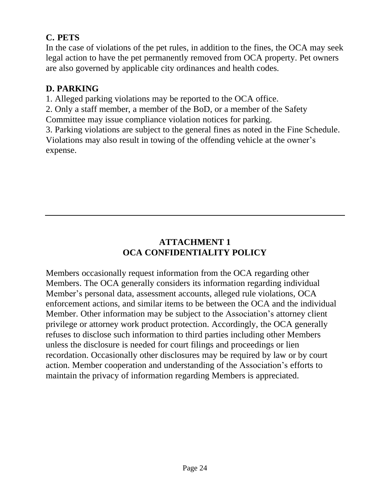# **C. PETS**

In the case of violations of the pet rules, in addition to the fines, the OCA may seek legal action to have the pet permanently removed from OCA property. Pet owners are also governed by applicable city ordinances and health codes.

#### **D. PARKING**

1. Alleged parking violations may be reported to the OCA office.

2. Only a staff member, a member of the BoD, or a member of the Safety Committee may issue compliance violation notices for parking.

3. Parking violations are subject to the general fines as noted in the Fine Schedule. Violations may also result in towing of the offending vehicle at the owner's expense.

# **ATTACHMENT 1 OCA CONFIDENTIALITY POLICY**

Members occasionally request information from the OCA regarding other Members. The OCA generally considers its information regarding individual Member's personal data, assessment accounts, alleged rule violations, OCA enforcement actions, and similar items to be between the OCA and the individual Member. Other information may be subject to the Association's attorney client privilege or attorney work product protection. Accordingly, the OCA generally refuses to disclose such information to third parties including other Members unless the disclosure is needed for court filings and proceedings or lien recordation. Occasionally other disclosures may be required by law or by court action. Member cooperation and understanding of the Association's efforts to maintain the privacy of information regarding Members is appreciated.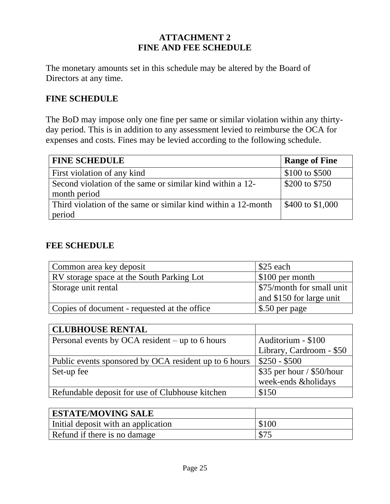#### **ATTACHMENT 2 FINE AND FEE SCHEDULE**

The monetary amounts set in this schedule may be altered by the Board of Directors at any time.

#### **FINE SCHEDULE**

The BoD may impose only one fine per same or similar violation within any thirtyday period. This is in addition to any assessment levied to reimburse the OCA for expenses and costs. Fines may be levied according to the following schedule.

| <b>FINE SCHEDULE</b>                                          | <b>Range of Fine</b> |
|---------------------------------------------------------------|----------------------|
| First violation of any kind                                   | \$100 to \$500       |
| Second violation of the same or similar kind within a 12-     | \$200 to \$750       |
| month period                                                  |                      |
| Third violation of the same or similar kind within a 12-month | \$400 to \$1,000     |
| period                                                        |                      |

#### **FEE SCHEDULE**

| Common area key deposit                          | \$25 each                 |
|--------------------------------------------------|---------------------------|
| <b>RV</b> storage space at the South Parking Lot | \$100 per month           |
| Storage unit rental                              | \$75/month for small unit |
|                                                  | and \$150 for large unit  |
| Copies of document - requested at the office     | \$.50 per page            |

| <b>CLUBHOUSE RENTAL</b>                               |                           |
|-------------------------------------------------------|---------------------------|
| Personal events by OCA resident $-$ up to 6 hours     | Auditorium - \$100        |
|                                                       | Library, Cardroom - \$50  |
| Public events sponsored by OCA resident up to 6 hours | $$250 - $500$             |
| Set-up fee                                            | \$35 per hour / \$50/hour |
|                                                       | week-ends &holidays       |
| Refundable deposit for use of Clubhouse kitchen       | \$150                     |

| <b>ESTATE/MOVING SALE</b>           |       |
|-------------------------------------|-------|
| Initial deposit with an application | \$100 |
| Refund if there is no damage        | \$75  |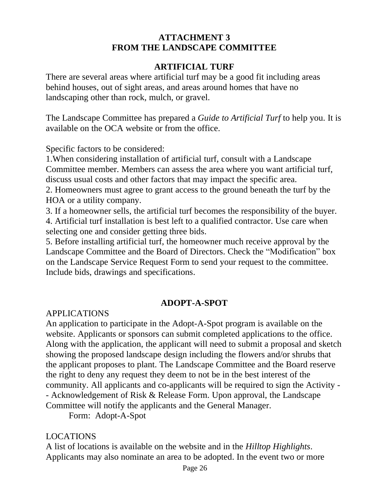#### **ATTACHMENT 3 FROM THE LANDSCAPE COMMITTEE**

#### **ARTIFICIAL TURF**

There are several areas where artificial turf may be a good fit including areas behind houses, out of sight areas, and areas around homes that have no landscaping other than rock, mulch, or gravel.

The Landscape Committee has prepared a *Guide to Artificial Turf* to help you. It is available on the OCA website or from the office.

Specific factors to be considered:

1.When considering installation of artificial turf, consult with a Landscape Committee member. Members can assess the area where you want artificial turf, discuss usual costs and other factors that may impact the specific area.

2. Homeowners must agree to grant access to the ground beneath the turf by the HOA or a utility company.

3. If a homeowner sells, the artificial turf becomes the responsibility of the buyer. 4. Artificial turf installation is best left to a qualified contractor. Use care when selecting one and consider getting three bids.

5. Before installing artificial turf, the homeowner much receive approval by the Landscape Committee and the Board of Directors. Check the "Modification" box on the Landscape Service Request Form to send your request to the committee. Include bids, drawings and specifications.

#### **ADOPT-A-SPOT**

APPLICATIONS

An application to participate in the Adopt-A-Spot program is available on the website. Applicants or sponsors can submit completed applications to the office. Along with the application, the applicant will need to submit a proposal and sketch showing the proposed landscape design including the flowers and/or shrubs that the applicant proposes to plant. The Landscape Committee and the Board reserve the right to deny any request they deem to not be in the best interest of the community. All applicants and co-applicants will be required to sign the Activity - - Acknowledgement of Risk & Release Form. Upon approval, the Landscape Committee will notify the applicants and the General Manager.

Form: Adopt-A-Spot

#### LOCATIONS

A list of locations is available on the website and in the *Hilltop Highlights*. Applicants may also nominate an area to be adopted. In the event two or more